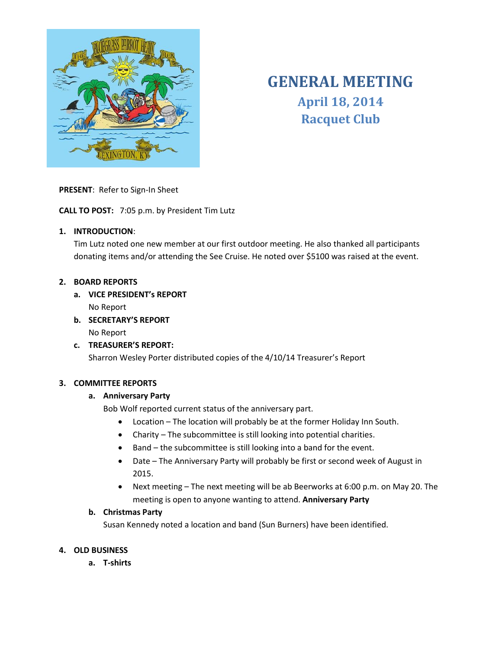

# **GENERAL MEETING April 18, 2014 Racquet Club**

**PRESENT**: Refer to Sign-In Sheet

**CALL TO POST:** 7:05 p.m. by President Tim Lutz

# **1. INTRODUCTION**:

Tim Lutz noted one new member at our first outdoor meeting. He also thanked all participants donating items and/or attending the See Cruise. He noted over \$5100 was raised at the event.

## **2. BOARD REPORTS**

**a. VICE PRESIDENT's REPORT**

No Report

**b. SECRETARY'S REPORT** No Report

# **c. TREASURER'S REPORT:**

Sharron Wesley Porter distributed copies of the 4/10/14 Treasurer's Report

#### **3. COMMITTEE REPORTS**

# **a. Anniversary Party**

Bob Wolf reported current status of the anniversary part.

- Location The location will probably be at the former Holiday Inn South.
- Charity The subcommittee is still looking into potential charities.
- Band the subcommittee is still looking into a band for the event.
- Date The Anniversary Party will probably be first or second week of August in 2015.
- Next meeting The next meeting will be ab Beerworks at 6:00 p.m. on May 20. The meeting is open to anyone wanting to attend. **Anniversary Party**

# **b. Christmas Party**

Susan Kennedy noted a location and band (Sun Burners) have been identified.

# **4. OLD BUSINESS**

**a. T-shirts**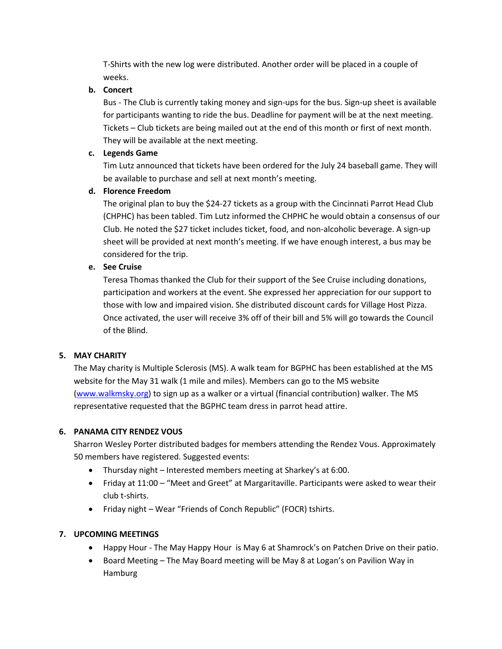T-Shirts with the new log were distributed. Another order will be placed in a couple of weeks.

## **b. Concert**

Bus - The Club is currently taking money and sign-ups for the bus. Sign-up sheet is available for participants wanting to ride the bus. Deadline for payment will be at the next meeting. Tickets – Club tickets are being mailed out at the end of this month or first of next month. They will be available at the next meeting.

#### **c. Legends Game**

Tim Lutz announced that tickets have been ordered for the July 24 baseball game. They will be available to purchase and sell at next month's meeting.

# **d. Florence Freedom**

The original plan to buy the \$24-27 tickets as a group with the Cincinnati Parrot Head Club (CHPHC) has been tabled. Tim Lutz informed the CHPHC he would obtain a consensus of our Club. He noted the \$27 ticket includes ticket, food, and non-alcoholic beverage. A sign-up sheet will be provided at next month's meeting. If we have enough interest, a bus may be considered for the trip.

## **e. See Cruise**

Teresa Thomas thanked the Club for their support of the See Cruise including donations, participation and workers at the event. She expressed her appreciation for our support to those with low and impaired vision. She distributed discount cards for Village Host Pizza. Once activated, the user will receive 3% off of their bill and 5% will go towards the Council of the Blind.

# **5. MAY CHARITY**

The May charity is Multiple Sclerosis (MS). A walk team for BGPHC has been established at the MS website for the May 31 walk (1 mile and miles). Members can go to the MS website [\(www.walkmsky.org\)](http://www.walkmsky.org/) to sign up as a walker or a virtual (financial contribution) walker. The MS representative requested that the BGPHC team dress in parrot head attire.

# **6. PANAMA CITY RENDEZ VOUS**

Sharron Wesley Porter distributed badges for members attending the Rendez Vous. Approximately 50 members have registered. Suggested events:

- Thursday night Interested members meeting at Sharkey's at 6:00.
- Friday at 11:00 "Meet and Greet" at Margaritaville. Participants were asked to wear their club t-shirts.
- Friday night Wear "Friends of Conch Republic" (FOCR) tshirts.

# **7. UPCOMING MEETINGS**

- Happy Hour The May Happy Hour is May 6 at Shamrock's on Patchen Drive on their patio.
- Board Meeting The May Board meeting will be May 8 at Logan's on Pavilion Way in Hamburg